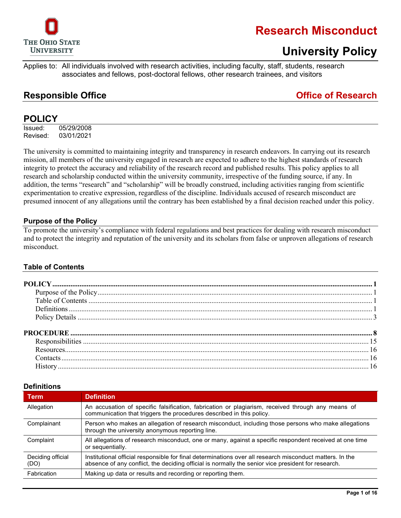

### **University Policy**

Applies to: All individuals involved with research activities, including faculty, staff, students, research associates and fellows, post-doctoral fellows, other research trainees, and visitors

### **Responsible Office Office of Research**

### <span id="page-0-0"></span>**POLICY**

Issued: 05/29/2008 Revised: 03/01/2021

The university is committed to maintaining integrity and transparency in research endeavors. In carrying out its research mission, all members of the university engaged in research are expected to adhere to the highest standards of research integrity to protect the accuracy and reliability of the research record and published results. This policy applies to all research and scholarship conducted within the university community, irrespective of the funding source, if any. In addition, the terms "research" and "scholarship" will be broadly construed, including activities ranging from scientific experimentation to creative expression, regardless of the discipline. Individuals accused of research misconduct are presumed innocent of any allegations until the contrary has been established by a final decision reached under this policy.

### <span id="page-0-1"></span>**Purpose of the Policy**

To promote the university's compliance with federal regulations and best practices for dealing with research misconduct and to protect the integrity and reputation of the university and its scholars from false or unproven allegations of research misconduct.

### <span id="page-0-2"></span>**Table of Contents**

### <span id="page-0-3"></span>**Definitions**

| <b>Term</b>               | <b>Definition</b>                                                                                                                                                                                              |
|---------------------------|----------------------------------------------------------------------------------------------------------------------------------------------------------------------------------------------------------------|
| Allegation                | An accusation of specific falsification, fabrication or plagiarism, received through any means of<br>communication that triggers the procedures described in this policy.                                      |
| Complainant               | Person who makes an allegation of research misconduct, including those persons who make allegations<br>through the university anonymous reporting line.                                                        |
| Complaint                 | All allegations of research misconduct, one or many, against a specific respondent received at one time<br>or sequentially.                                                                                    |
| Deciding official<br>(DO) | Institutional official responsible for final determinations over all research misconduct matters. In the<br>absence of any conflict, the deciding official is normally the senior vice president for research. |
| Fabrication               | Making up data or results and recording or reporting them.                                                                                                                                                     |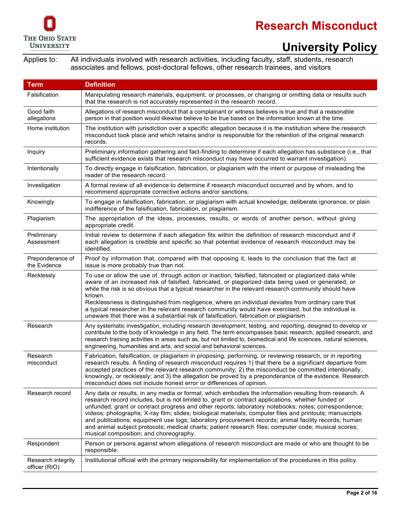

# **University Policy**

| <b>Term</b>                         | <b>Definition</b>                                                                                                                                                                                                                                                                                                                                                                                                                                                                                                                                                                                                                                                                          |  |
|-------------------------------------|--------------------------------------------------------------------------------------------------------------------------------------------------------------------------------------------------------------------------------------------------------------------------------------------------------------------------------------------------------------------------------------------------------------------------------------------------------------------------------------------------------------------------------------------------------------------------------------------------------------------------------------------------------------------------------------------|--|
| Falsification                       | Manipulating research materials, equipment, or processes, or changing or omitting data or results such<br>that the research is not accurately represented in the research record.                                                                                                                                                                                                                                                                                                                                                                                                                                                                                                          |  |
| Good faith<br>allegations           | Allegations of research misconduct that a complainant or witness believes is true and that a reasonable<br>person in that position would likewise believe to be true based on the information known at the time.                                                                                                                                                                                                                                                                                                                                                                                                                                                                           |  |
| Home institution                    | The institution with jurisdiction over a specific allegation because it is the institution where the research<br>misconduct took place and which retains and/or is responsible for the retention of the original research<br>records.                                                                                                                                                                                                                                                                                                                                                                                                                                                      |  |
| Inquiry                             | Preliminary information gathering and fact-finding to determine if each allegation has substance (i.e., that<br>sufficient evidence exists that research misconduct may have occurred to warrant investigation).                                                                                                                                                                                                                                                                                                                                                                                                                                                                           |  |
| Intentionally                       | To directly engage in falsification, fabrication, or plagiarism with the intent or purpose of misleading the<br>reader of the research record.                                                                                                                                                                                                                                                                                                                                                                                                                                                                                                                                             |  |
| Investigation                       | A formal review of all evidence to determine if research misconduct occurred and by whom, and to<br>recommend appropriate corrective actions and/or sanctions.                                                                                                                                                                                                                                                                                                                                                                                                                                                                                                                             |  |
| Knowingly                           | To engage in falsification, fabrication, or plagiarism with actual knowledge, deliberate ignorance, or plain<br>indifference of the falsification, fabrication, or plagiarism.                                                                                                                                                                                                                                                                                                                                                                                                                                                                                                             |  |
| Plagiarism                          | The appropriation of the ideas, processes, results, or words of another person, without giving<br>appropriate credit.                                                                                                                                                                                                                                                                                                                                                                                                                                                                                                                                                                      |  |
| Preliminary<br>Assessment           | Initial review to determine if each allegation fits within the definition of research misconduct and if<br>each allegation is credible and specific so that potential evidence of research misconduct may be<br>identified.                                                                                                                                                                                                                                                                                                                                                                                                                                                                |  |
| Preponderance of<br>the Evidence    | Proof by information that, compared with that opposing it, leads to the conclusion that the fact at<br>issue is more probably true than not.                                                                                                                                                                                                                                                                                                                                                                                                                                                                                                                                               |  |
| Recklessly                          | To use or allow the use of, through action or inaction, falsified, fabricated or plagiarized data while<br>aware of an increased risk of falsified, fabricated, or plagiarized data being used or generated, or<br>while the risk is so obvious that a typical researcher in the relevant research community should have<br>known.<br>Recklessness is distinguished from negligence, where an individual deviates from ordinary care that<br>a typical researcher in the relevant research community would have exercised, but the individual is<br>unaware that there was a substantial risk of falsification, fabrication or plagiarism.                                                 |  |
| Research                            | Any systematic investigation, including research development, testing, and reporting, designed to develop or<br>contribute to the body of knowledge in any field. The term encompasses basic research, applied research, and<br>research training activities in areas such as, but not limited to, biomedical and life sciences, natural sciences,<br>engineering, humanities and arts, and social and behavioral sciences.                                                                                                                                                                                                                                                                |  |
| Research<br>misconduct              | Fabrication, falsification, or plagiarism in proposing, performing, or reviewing research, or in reporting<br>research results. A finding of research misconduct requires 1) that there be a significant departure from<br>accepted practices of the relevant research community; 2) the misconduct be committed intentionally,<br>knowingly, or recklessly; and 3) the allegation be proved by a preponderance of the evidence. Research<br>misconduct does not include honest error or differences of opinion.                                                                                                                                                                           |  |
| Research record                     | Any data or results, in any media or format, which embodies the information resulting from research. A<br>research record includes, but is not limited to, grant or contract applications, whether funded or<br>unfunded; grant or contract progress and other reports; laboratory notebooks; notes; correspondence;<br>videos; photographs; X-ray film; slides; biological materials; computer files and printouts; manuscripts<br>and publications; equipment use logs; laboratory procurement records; animal facility records; human<br>and animal subject protocols; medical charts; patient research files; computer code; musical scores;<br>musical composition; and choreography. |  |
| Respondent                          | Person or persons against whom allegations of research misconduct are made or who are thought to be<br>responsible.                                                                                                                                                                                                                                                                                                                                                                                                                                                                                                                                                                        |  |
| Research integrity<br>officer (RIO) | Institutional official with the primary responsibility for implementation of the procedures in this policy.                                                                                                                                                                                                                                                                                                                                                                                                                                                                                                                                                                                |  |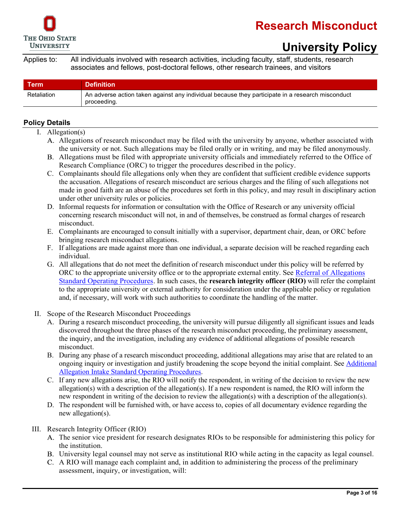

# **University Policy**

Applies to: All individuals involved with research activities, including faculty, staff, students, research associates and fellows, post-doctoral fellows, other research trainees, and visitors

| Term        | <b>Definition</b>                                                                                               |
|-------------|-----------------------------------------------------------------------------------------------------------------|
| Retaliation | An adverse action taken against any individual because they participate in a research misconduct<br>proceeding. |

### <span id="page-2-0"></span>**Policy Details**

- I. Allegation(s)
	- Allegations of research misconduct may be filed with the university by anyone, whether associated with the university or not. Such allegations may be filed orally or in writing, and may be filed anonymously.
	- Allegations must be filed with appropriate university officials and immediately referred to the Office of Research Compliance (ORC) to trigger the procedures described in the policy.
	- C. Complainants should file allegations only when they are confident that sufficient credible evidence supports the accusation. Allegations of research misconduct are serious charges and the filing of such allegations not made in good faith are an abuse of the procedures set forth in this policy, and may result in disciplinary action under other university rules or policies.
	- D. Informal requests for information or consultation with the Office of Research or any university official concerning research misconduct will not, in and of themselves, be construed as formal charges of research misconduct.
	- E. Complainants are encouraged to consult initially with a supervisor, department chair, dean, or ORC before bringing research misconduct allegations.
	- F. If allegations are made against more than one individual, a separate decision will be reached regarding each individual.
	- G. All allegations that do not meet the definition of research misconduct under this policy will be referred by ORC to the appropriate university office or to the appropriate external entity. See [Referral of Allegations](https://go.osu.edu/allegation_referral)  [Standard Operating Procedures.](https://go.osu.edu/allegation_referral) In such cases, the **research integrity officer (RIO)** will refer the complaint to the appropriate university or external authority for consideration under the applicable policy or regulation and, if necessary, will work with such authorities to coordinate the handling of the matter.
- II. Scope of the Research Misconduct Proceedings
	- A. During a research misconduct proceeding, the university will pursue diligently all significant issues and leads discovered throughout the three phases of the research misconduct proceeding, the preliminary assessment, the inquiry, and the investigation, including any evidence of additional allegations of possible research misconduct.
	- B. During any phase of a research misconduct proceeding, additional allegations may arise that are related to an ongoing inquiry or investigation and justify broadening the scope beyond the initial complaint. See Additional [Allegation Intake Standard Operating Procedures.](https://go.osu.edu/additional_allegations)
	- C. If any new allegations arise, the RIO will notify the respondent, in writing of the decision to review the new allegation(s) with a description of the allegation(s). If a new respondent is named, the RIO will inform the new respondent in writing of the decision to review the allegation(s) with a description of the allegation(s).
	- D. The respondent will be furnished with, or have access to, copies of all documentary evidence regarding the new allegation(s).

#### III. Research Integrity Officer (RIO)

- The senior vice president for research designates RIOs to be responsible for administering this policy for the institution.
- University legal counsel may not serve as institutional RIO while acting in the capacity as legal counsel.
- A RIO will manage each complaint and, in addition to administering the process of the preliminary assessment, inquiry, or investigation, will: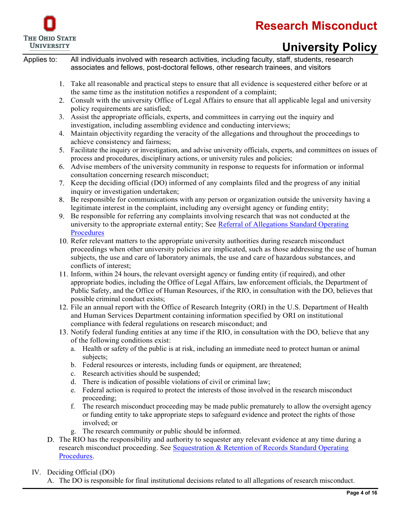

# **University Policy**

Applies to: All individuals involved with research activities, including faculty, staff, students, research associates and fellows, post-doctoral fellows, other research trainees, and visitors

- Take all reasonable and practical steps to ensure that all evidence is sequestered either before or at the same time as the institution notifies a respondent of a complaint;
- Consult with the university Office of Legal Affairs to ensure that all applicable legal and university policy requirements are satisfied;
- 3. Assist the appropriate officials, experts, and committees in carrying out the inquiry and investigation, including assembling evidence and conducting interviews;
- 4. Maintain objectivity regarding the veracity of the allegations and throughout the proceedings to achieve consistency and fairness;
- Facilitate the inquiry or investigation, and advise university officials, experts, and committees on issues of process and procedures, disciplinary actions, or university rules and policies;
- Advise members of the university community in response to requests for information or informal consultation concerning research misconduct;
- Keep the deciding official (DO) informed of any complaints filed and the progress of any initial inquiry or investigation undertaken;
- Be responsible for communications with any person or organization outside the university having a legitimate interest in the complaint, including any oversight agency or funding entity;
- Be responsible for referring any complaints involving research that was not conducted at the university to the appropriate external entity; See Referral of Allegations Standard Operating **[Procedures](https://go.osu.edu/allegation_referral)**
- 10. Refer relevant matters to the appropriate university authorities during research misconduct proceedings when other university policies are implicated, such as those addressing the use of human subjects, the use and care of laboratory animals, the use and care of hazardous substances, and conflicts of interest;
- Inform, within 24 hours, the relevant oversight agency or funding entity (if required), and other appropriate bodies, including the Office of Legal Affairs, law enforcement officials, the Department of Public Safety, and the Office of Human Resources, if the RIO, in consultation with the DO, believes that possible criminal conduct exists;
- 12. File an annual report with the Office of Research Integrity (ORI) in the U.S. Department of Health and Human Services Department containing information specified by ORI on institutional compliance with federal regulations on research misconduct; and
- Notify federal funding entities at any time if the RIO, in consultation with the DO, believe that any of the following conditions exist:
	- a. Health or safety of the public is at risk, including an immediate need to protect human or animal subjects;
	- b. Federal resources or interests, including funds or equipment, are threatened;
	- c. Research activities should be suspended;
	- d. There is indication of possible violations of civil or criminal law;
	- e. Federal action is required to protect the interests of those involved in the research misconduct proceeding;
	- f. The research misconduct proceeding may be made public prematurely to allow the oversight agency or funding entity to take appropriate steps to safeguard evidence and protect the rights of those involved; or
	- g. The research community or public should be informed.
- D. The RIO has the responsibility and authority to sequester any relevant evidence at any time during a research misconduct proceeding. See [Sequestration & Retention of Records Standard Operating](https://go.osu.edu/sequestration)  [Procedures.](https://go.osu.edu/sequestration)

IV. Deciding Official (DO)

A. The DO is responsible for final institutional decisions related to all allegations of research misconduct.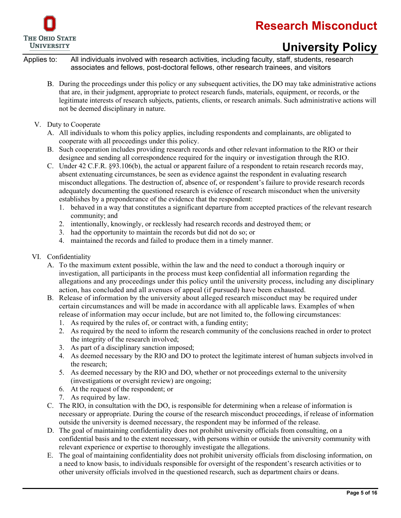

# **University Policy**

- During the proceedings under this policy or any subsequent activities, the DO may take administrative actions that are, in their judgment, appropriate to protect research funds, materials, equipment, or records, or the legitimate interests of research subjects, patients, clients, or research animals. Such administrative actions will not be deemed disciplinary in nature.
- V. Duty to Cooperate
	- A. All individuals to whom this policy applies, including respondents and complainants, are obligated to cooperate with all proceedings under this policy.
	- B. Such cooperation includes providing research records and other relevant information to the RIO or their designee and sending all correspondence required for the inquiry or investigation through the RIO.
	- C. Under 42 C.F.R. §93.106(b), the actual or apparent failure of a respondent to retain research records may, absent extenuating circumstances, be seen as evidence against the respondent in evaluating research misconduct allegations. The destruction of, absence of, or respondent's failure to provide research records adequately documenting the questioned research is evidence of research misconduct when the university establishes by a preponderance of the evidence that the respondent:
		- 1. behaved in a way that constitutes a significant departure from accepted practices of the relevant research community; and
		- 2. intentionally, knowingly, or recklessly had research records and destroyed them; or
		- 3. had the opportunity to maintain the records but did not do so; or
		- 4. maintained the records and failed to produce them in a timely manner.
- VI. Confidentiality
	- A. To the maximum extent possible, within the law and the need to conduct a thorough inquiry or investigation, all participants in the process must keep confidential all information regarding the allegations and any proceedings under this policy until the university process, including any disciplinary action, has concluded and all avenues of appeal (if pursued) have been exhausted.
	- B. Release of information by the university about alleged research misconduct may be required under certain circumstances and will be made in accordance with all applicable laws. Examples of when release of information may occur include, but are not limited to, the following circumstances:
		- 1. As required by the rules of, or contract with, a funding entity;
		- 2. As required by the need to inform the research community of the conclusions reached in order to protect the integrity of the research involved;
		- 3. As part of a disciplinary sanction imposed;
		- 4. As deemed necessary by the RIO and DO to protect the legitimate interest of human subjects involved in the research;
		- 5. As deemed necessary by the RIO and DO, whether or not proceedings external to the university (investigations or oversight review) are ongoing;
		- 6. At the request of the respondent; or
		- 7. As required by law.
	- C. The RIO, in consultation with the DO, is responsible for determining when a release of information is necessary or appropriate. During the course of the research misconduct proceedings, if release of information outside the university is deemed necessary, the respondent may be informed of the release.
	- D. The goal of maintaining confidentiality does not prohibit university officials from consulting, on a confidential basis and to the extent necessary, with persons within or outside the university community with relevant experience or expertise to thoroughly investigate the allegations.
	- E. The goal of maintaining confidentiality does not prohibit university officials from disclosing information, on a need to know basis, to individuals responsible for oversight of the respondent's research activities or to other university officials involved in the questioned research, such as department chairs or deans.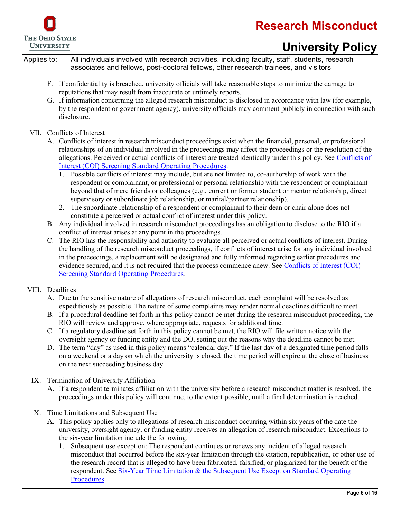

# **University Policy**

Applies to: All individuals involved with research activities, including faculty, staff, students, research associates and fellows, post-doctoral fellows, other research trainees, and visitors

- F. If confidentiality is breached, university officials will take reasonable steps to minimize the damage to reputations that may result from inaccurate or untimely reports.
- G. If information concerning the alleged research misconduct is disclosed in accordance with law (for example, by the respondent or government agency), university officials may comment publicly in connection with such disclosure.

### VII. Conflicts of Interest

- A. Conflicts of interest in research misconduct proceedings exist when the financial, personal, or professional relationships of an individual involved in the proceedings may affect the proceedings or the resolution of the allegations. Perceived or actual conflicts of interest are treated identically under this policy. See [Conflicts of](https://go.osu.edu/coi_screening)  [Interest \(COI\) Screening Standard Operating Procedures.](https://go.osu.edu/coi_screening)
	- 1. Possible conflicts of interest may include, but are not limited to, co-authorship of work with the respondent or complainant, or professional or personal relationship with the respondent or complainant beyond that of mere friends or colleagues (e.g., current or former student or mentor relationship, direct supervisory or subordinate job relationship, or marital/partner relationship).
	- 2. The subordinate relationship of a respondent or complainant to their dean or chair alone does not constitute a perceived or actual conflict of interest under this policy.
- B. Any individual involved in research misconduct proceedings has an obligation to disclose to the RIO if a conflict of interest arises at any point in the proceedings.
- C. The RIO has the responsibility and authority to evaluate all perceived or actual conflicts of interest. During the handling of the research misconduct proceedings, if conflicts of interest arise for any individual involved in the proceedings, a replacement will be designated and fully informed regarding earlier procedures and evidence secured, and it is not required that the process commence anew. See [Conflicts of Interest \(COI\)](https://go.osu.edu/coi_screening)  [Screening Standard Operating Procedures.](https://go.osu.edu/coi_screening)

### VIII. Deadlines

- A. Due to the sensitive nature of allegations of research misconduct, each complaint will be resolved as expeditiously as possible. The nature of some complaints may render normal deadlines difficult to meet.
- B. If a procedural deadline set forth in this policy cannot be met during the research misconduct proceeding, the RIO will review and approve, where appropriate, requests for additional time.
- C. If a regulatory deadline set forth in this policy cannot be met, the RIO will file written notice with the oversight agency or funding entity and the DO, setting out the reasons why the deadline cannot be met.
- D. The term "day" as used in this policy means "calendar day." If the last day of a designated time period falls on a weekend or a day on which the university is closed, the time period will expire at the close of business on the next succeeding business day.
- IX. Termination of University Affiliation
	- A. If a respondent terminates affiliation with the university before a research misconduct matter is resolved, the proceedings under this policy will continue, to the extent possible, until a final determination is reached.
- X. Time Limitations and Subsequent Use
	- This policy applies only to allegations of research misconduct occurring within six years of the date the university, oversight agency, or funding entity receives an allegation of research misconduct. Exceptions to the six-year limitation include the following.
		- 1. Subsequent use exception: The respondent continues or renews any incident of alleged research misconduct that occurred before the six-year limitation through the citation, republication, or other use of the research record that is alleged to have been fabricated, falsified, or plagiarized for the benefit of the respondent. See [Six-Year Time Limitation & the Subsequent Use Exception Standard Operating](https://go.osu.edu/subsequentuseexception)  [Procedures.](https://go.osu.edu/subsequentuseexception)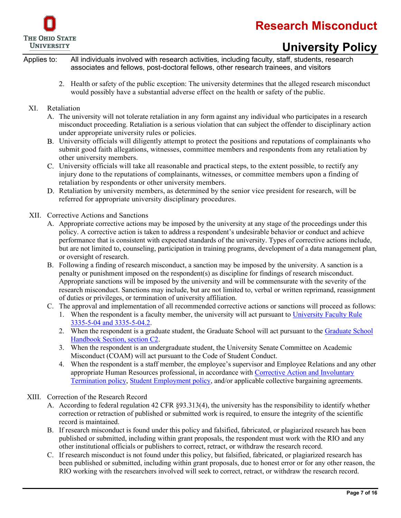

# **University Policy**

- 2. Health or safety of the public exception: The university determines that the alleged research misconduct would possibly have a substantial adverse effect on the health or safety of the public.
- XI. Retaliation
	- A. The university will not tolerate retaliation in any form against any individual who participates in a research misconduct proceeding. Retaliation is a serious violation that can subject the offender to disciplinary action under appropriate university rules or policies.
	- University officials will diligently attempt to protect the positions and reputations of complainants who submit good faith allegations, witnesses, committee members and respondents from any retaliation by other university members.
	- University officials will take all reasonable and practical steps, to the extent possible, to rectify any injury done to the reputations of complainants, witnesses, or committee members upon a finding of retaliation by respondents or other university members.
	- D. Retaliation by university members, as determined by the senior vice president for research, will be referred for appropriate university disciplinary procedures.
- XII. Corrective Actions and Sanctions
	- A. Appropriate corrective actions may be imposed by the university at any stage of the proceedings under this policy. A corrective action is taken to address a respondent's undesirable behavior or conduct and achieve performance that is consistent with expected standards of the university. Types of corrective actions include, but are not limited to, counseling, participation in training programs, development of a data management plan, or oversight of research.
	- B. Following a finding of research misconduct, a sanction may be imposed by the university. A sanction is a penalty or punishment imposed on the respondent(s) as discipline for findings of research misconduct. Appropriate sanctions will be imposed by the university and will be commensurate with the severity of the research misconduct. Sanctions may include, but are not limited to, verbal or written reprimand, reassignment of duties or privileges, or termination of university affiliation.
	- C. The approval and implementation of all recommended corrective actions or sanctions will proceed as follows:
		- 1. When the respondent is a faculty member, the university will act pursuant to [University Faculty Rule](https://trustees.osu.edu/bylaws-and-rules/3335-5)  [3335-5-04](https://trustees.osu.edu/bylaws-and-rules/3335-5) and 3335-5-04.2.
		- 2. When the respondent is a graduate student, the Graduate School will act pursuant to the [Graduate School](https://gradsch.osu.edu/handbook/c-2-research-standards-and-misconduct-investigation-allegations-research-misconduct)  [Handbook Section, section C2.](https://gradsch.osu.edu/handbook/c-2-research-standards-and-misconduct-investigation-allegations-research-misconduct)
		- 3. When the respondent is an undergraduate student, the University Senate Committee on Academic Misconduct (COAM) will act pursuant to the Code of Student Conduct.
		- 4. When the respondent is a staff member, the employee's supervisor and Employee Relations and any other appropriate Human Resources professional, in accordance with [Corrective Action and Involuntary](https://hr.osu.edu/wp-content/uploads/policy815.pdf)  [Termination policy,](https://hr.osu.edu/wp-content/uploads/policy815.pdf) [Student Employment policy,](https://hr.osu.edu/wp-content/uploads/policy1010.pdf) and/or applicable collective bargaining agreements.
- XIII. Correction of the Research Record
	- A. According to federal regulation 42 CFR §93.313(4), the university has the responsibility to identify whether correction or retraction of published or submitted work is required, to ensure the integrity of the scientific record is maintained.
	- B. If research misconduct is found under this policy and falsified, fabricated, or plagiarized research has been published or submitted, including within grant proposals, the respondent must work with the RIO and any other institutional officials or publishers to correct, retract, or withdraw the research record.
	- C. If research misconduct is not found under this policy, but falsified, fabricated, or plagiarized research has been published or submitted, including within grant proposals, due to honest error or for any other reason, the RIO working with the researchers involved will seek to correct, retract, or withdraw the research record.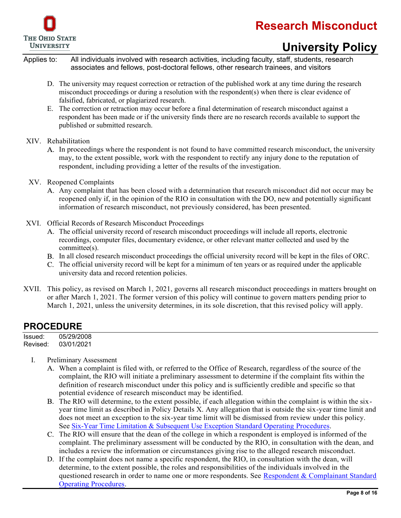



# **University Policy**

Applies to: All individuals involved with research activities, including faculty, staff, students, research associates and fellows, post-doctoral fellows, other research trainees, and visitors

- D. The university may request correction or retraction of the published work at any time during the research misconduct proceedings or during a resolution with the respondent(s) when there is clear evidence of falsified, fabricated, or plagiarized research.
- E. The correction or retraction may occur before a final determination of research misconduct against a respondent has been made or if the university finds there are no research records available to support the published or submitted research.
- XIV. Rehabilitation
	- A. In proceedings where the respondent is not found to have committed research misconduct, the university may, to the extent possible, work with the respondent to rectify any injury done to the reputation of respondent, including providing a letter of the results of the investigation.
- XV. Reopened Complaints
	- A. Any complaint that has been closed with a determination that research misconduct did not occur may be reopened only if, in the opinion of the RIO in consultation with the DO, new and potentially significant information of research misconduct, not previously considered, has been presented.
- XVI. Official Records of Research Misconduct Proceedings
	- The official university record of research misconduct proceedings will include all reports, electronic recordings, computer files, documentary evidence, or other relevant matter collected and used by the committee(s).
	- In all closed research misconduct proceedings the official university record will be kept in the files of ORC.
	- The official university record will be kept for a minimum of ten years or as required under the applicable university data and record retention policies.
- XVII. This policy, as revised on March 1, 2021, governs all research misconduct proceedings in matters brought on or after March 1, 2021. The former version of this policy will continue to govern matters pending prior to March 1, 2021, unless the university determines, in its sole discretion, that this revised policy will apply.

### <span id="page-7-0"></span>**PROCEDURE**

| Issued:  | 05/29/2008 |
|----------|------------|
| Revised: | 03/01/2021 |

- I. Preliminary Assessment
	- When a complaint is filed with, or referred to the Office of Research, regardless of the source of the complaint, the RIO will initiate a preliminary assessment to determine if the complaint fits within the definition of research misconduct under this policy and is sufficiently credible and specific so that potential evidence of research misconduct may be identified.
	- The RIO will determine, to the extent possible, if each allegation within the complaint is within the sixyear time limit as described in Policy Details X. Any allegation that is outside the six-year time limit and does not meet an exception to the six-year time limit will be dismissed from review under this policy. See [Six-Year Time Limitation & Subsequent Use Exception Standard Operating Procedures.](https://go.osu.edu/subsequentuseexception)
	- C. The RIO will ensure that the dean of the college in which a respondent is employed is informed of the complaint. The preliminary assessment will be conducted by the RIO, in consultation with the dean, and includes a review the information or circumstances giving rise to the alleged research misconduct.
	- D. If the complaint does not name a specific respondent, the RIO, in consultation with the dean, will determine, to the extent possible, the roles and responsibilities of the individuals involved in the questioned research in order to name one or more respondents. See [Respondent & Complainant Standard](https://go.osu.edu/respondent_complainant)  [Operating Procedures.](https://go.osu.edu/respondent_complainant)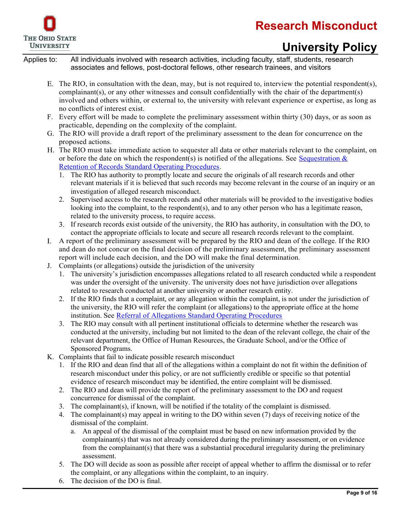

# **University Policy**

- The RIO, in consultation with the dean, may, but is not required to, interview the potential respondent(s), complainant(s), or any other witnesses and consult confidentially with the chair of the department(s) involved and others within, or external to, the university with relevant experience or expertise, as long as no conflicts of interest exist.
- F. Every effort will be made to complete the preliminary assessment within thirty (30) days, or as soon as practicable, depending on the complexity of the complaint.
- G. The RIO will provide a draft report of the preliminary assessment to the dean for concurrence on the proposed actions.
- The RIO must take immediate action to sequester all data or other materials relevant to the complaint, on or before the date on which the respondent(s) is notified of the allegations. See Sequestration  $\&$ [Retention of Records Standard Operating Procedures.](https://go.osu.edu/sequestration)
	- 1. The RIO has authority to promptly locate and secure the originals of all research records and other relevant materials if it is believed that such records may become relevant in the course of an inquiry or an investigation of alleged research misconduct.
	- 2. Supervised access to the research records and other materials will be provided to the investigative bodies looking into the complaint, to the respondent(s), and to any other person who has a legitimate reason, related to the university process, to require access.
	- If research records exist outside of the university, the RIO has authority, in consultation with the DO, to contact the appropriate officials to locate and secure all research records relevant to the complaint.
- A report of the preliminary assessment will be prepared by the RIO and dean of the college. If the RIO and dean do not concur on the final decision of the preliminary assessment, the preliminary assessment report will include each decision, and the DO will make the final determination.
- J. Complaints (or allegations) outside the jurisdiction of the university
	- 1. The university's jurisdiction encompasses allegations related to all research conducted while a respondent was under the oversight of the university. The university does not have jurisdiction over allegations related to research conducted at another university or another research entity.
	- 2. If the RIO finds that a complaint, or any allegation within the complaint, is not under the jurisdiction of the university, the RIO will refer the complaint (or allegations) to the appropriate office at the home institution. See [Referral of Allegations Standard Operating Procedures](https://go.osu.edu/allegation_referral)
	- 3. The RIO may consult with all pertinent institutional officials to determine whether the research was conducted at the university, including but not limited to the dean of the relevant college, the chair of the relevant department, the Office of Human Resources, the Graduate School, and/or the Office of Sponsored Programs.
- K. Complaints that fail to indicate possible research misconduct
	- 1. If the RIO and dean find that all of the allegations within a complaint do not fit within the definition of research misconduct under this policy, or are not sufficiently credible or specific so that potential evidence of research misconduct may be identified, the entire complaint will be dismissed.
	- 2. The RIO and dean will provide the report of the preliminary assessment to the DO and request concurrence for dismissal of the complaint.
	- 3. The complainant(s), if known, will be notified if the totality of the complaint is dismissed.
	- 4. The complainant(s) may appeal in writing to the DO within seven (7) days of receiving notice of the dismissal of the complaint.
		- a. An appeal of the dismissal of the complaint must be based on new information provided by the complainant(s) that was not already considered during the preliminary assessment, or on evidence from the complainant(s) that there was a substantial procedural irregularity during the preliminary assessment.
	- 5. The DO will decide as soon as possible after receipt of appeal whether to affirm the dismissal or to refer the complaint, or any allegations within the complaint, to an inquiry.
	- 6. The decision of the DO is final.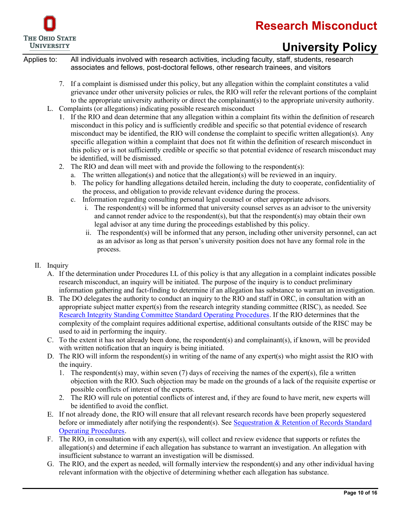

# **University Policy**

- 7. If a complaint is dismissed under this policy, but any allegation within the complaint constitutes a valid grievance under other university policies or rules, the RIO will refer the relevant portions of the complaint to the appropriate university authority or direct the complainant(s) to the appropriate university authority.
- L. Complaints (or allegations) indicating possible research misconduct
	- If the RIO and dean determine that any allegation within a complaint fits within the definition of research misconduct in this policy and is sufficiently credible and specific so that potential evidence of research misconduct may be identified, the RIO will condense the complaint to specific written allegation(s). Any specific allegation within a complaint that does not fit within the definition of research misconduct in this policy or is not sufficiently credible or specific so that potential evidence of research misconduct may be identified, will be dismissed.
	- 2. The RIO and dean will meet with and provide the following to the respondent(s):
		- a. The written allegation(s) and notice that the allegation(s) will be reviewed in an inquiry.
		- b. The policy for handling allegations detailed herein, including the duty to cooperate, confidentiality of the process, and obligation to provide relevant evidence during the process.
		- c. Information regarding consulting personal legal counsel or other appropriate advisors.
			- i. The respondent(s) will be informed that university counsel serves as an advisor to the university and cannot render advice to the respondent(s), but that the respondent(s) may obtain their own legal advisor at any time during the proceedings established by this policy.
			- ii. The respondent(s) will be informed that any person, including other university personnel, can act as an advisor as long as that person's university position does not have any formal role in the process.
- II. Inquiry
	- A. If the determination under Procedures I.L of this policy is that any allegation in a complaint indicates possible research misconduct, an inquiry will be initiated. The purpose of the inquiry is to conduct preliminary information gathering and fact-finding to determine if an allegation has substance to warrant an investigation.
	- B. The DO delegates the authority to conduct an inquiry to the RIO and staff in ORC, in consultation with an appropriate subject matter expert(s) from the research integrity standing committee (RISC), as needed. See [Research Integrity Standing Committee Standard Operating Procedures.](https://go.osu.edu/risc) If the RIO determines that the complexity of the complaint requires additional expertise, additional consultants outside of the RISC may be used to aid in performing the inquiry.
	- C. To the extent it has not already been done, the respondent(s) and complainant(s), if known, will be provided with written notification that an inquiry is being initiated.
	- D. The RIO will inform the respondent(s) in writing of the name of any expert(s) who might assist the RIO with the inquiry.
		- 1. The respondent(s) may, within seven (7) days of receiving the names of the expert(s), file a written objection with the RIO. Such objection may be made on the grounds of a lack of the requisite expertise or possible conflicts of interest of the experts.
		- 2. The RIO will rule on potential conflicts of interest and, if they are found to have merit, new experts will be identified to avoid the conflict.
	- If not already done, the RIO will ensure that all relevant research records have been properly sequestered before or immediately after notifying the respondent(s). See Sequestration & Retention of Records Standard [Operating Procedures.](https://go.osu.edu/sequestration)
	- F. The RIO, in consultation with any expert(s), will collect and review evidence that supports or refutes the allegation(s) and determine if each allegation has substance to warrant an investigation. An allegation with insufficient substance to warrant an investigation will be dismissed.
	- G. The RIO, and the expert as needed, will formally interview the respondent(s) and any other individual having relevant information with the objective of determining whether each allegation has substance.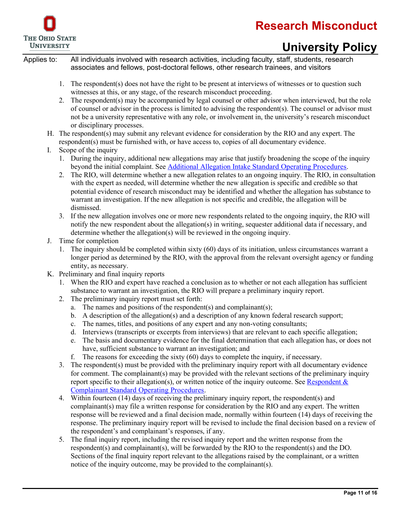



# **University Policy**

- 1. The respondent(s) does not have the right to be present at interviews of witnesses or to question such witnesses at this, or any stage, of the research misconduct proceeding.
- 2. The respondent(s) may be accompanied by legal counsel or other advisor when interviewed, but the role of counsel or advisor in the process is limited to advising the respondent(s). The counsel or advisor must not be a university representative with any role, or involvement in, the university's research misconduct or disciplinary processes.
- H. The respondent(s) may submit any relevant evidence for consideration by the RIO and any expert. The respondent(s) must be furnished with, or have access to, copies of all documentary evidence.
- I. Scope of the inquiry
	- 1. During the inquiry, additional new allegations may arise that justify broadening the scope of the inquiry beyond the initial complaint. See [Additional Allegation Intake Standard Operating Procedures.](https://go.osu.edu/additional_allegations)
	- 2. The RIO, will determine whether a new allegation relates to an ongoing inquiry. The RIO, in consultation with the expert as needed, will determine whether the new allegation is specific and credible so that potential evidence of research misconduct may be identified and whether the allegation has substance to warrant an investigation. If the new allegation is not specific and credible, the allegation will be dismissed.
	- 3. If the new allegation involves one or more new respondents related to the ongoing inquiry, the RIO will notify the new respondent about the allegation(s) in writing, sequester additional data if necessary, and determine whether the allegation(s) will be reviewed in the ongoing inquiry.
- J. Time for completion
	- 1. The inquiry should be completed within sixty (60) days of its initiation, unless circumstances warrant a longer period as determined by the RIO, with the approval from the relevant oversight agency or funding entity, as necessary.
- K. Preliminary and final inquiry reports
	- 1. When the RIO and expert have reached a conclusion as to whether or not each allegation has sufficient substance to warrant an investigation, the RIO will prepare a preliminary inquiry report.
	- 2. The preliminary inquiry report must set forth:
		- a. The names and positions of the respondent(s) and complainant(s);
		- b. A description of the allegation(s) and a description of any known federal research support;
		- c. The names, titles, and positions of any expert and any non-voting consultants;
		- d. Interviews (transcripts or excerpts from interviews) that are relevant to each specific allegation;
		- e. The basis and documentary evidence for the final determination that each allegation has, or does not have, sufficient substance to warrant an investigation; and
		- f. The reasons for exceeding the sixty  $(60)$  days to complete the inquiry, if necessary.
	- 3. The respondent(s) must be provided with the preliminary inquiry report with all documentary evidence for comment. The complainant(s) may be provided with the relevant sections of the preliminary inquiry report specific to their allegation(s), or written notice of the inquiry outcome. See Respondent  $\&$ [Complainant Standard Operating Procedures.](https://go.osu.edu/respondent_complainant)
	- 4. Within fourteen (14) days of receiving the preliminary inquiry report, the respondent(s) and complainant(s) may file a written response for consideration by the RIO and any expert. The written response will be reviewed and a final decision made, normally within fourteen (14) days of receiving the response. The preliminary inquiry report will be revised to include the final decision based on a review of the respondent's and complainant's responses, if any.
	- 5. The final inquiry report, including the revised inquiry report and the written response from the respondent(s) and complainant(s), will be forwarded by the RIO to the respondent(s) and the DO. Sections of the final inquiry report relevant to the allegations raised by the complainant, or a written notice of the inquiry outcome, may be provided to the complainant(s).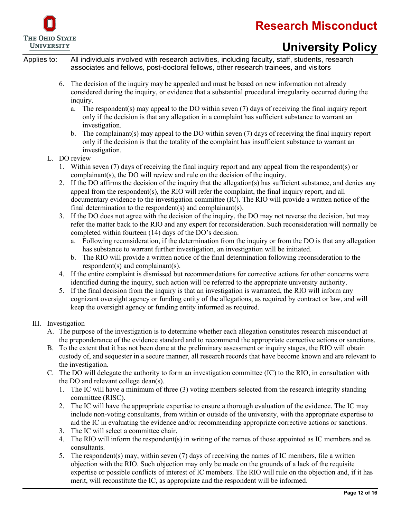

# **University Policy**

Applies to: All individuals involved with research activities, including faculty, staff, students, research associates and fellows, post-doctoral fellows, other research trainees, and visitors

- 6. The decision of the inquiry may be appealed and must be based on new information not already considered during the inquiry, or evidence that a substantial procedural irregularity occurred during the inquiry.
	- a. The respondent(s) may appeal to the DO within seven (7) days of receiving the final inquiry report only if the decision is that any allegation in a complaint has sufficient substance to warrant an investigation.
	- b. The complainant(s) may appeal to the DO within seven (7) days of receiving the final inquiry report only if the decision is that the totality of the complaint has insufficient substance to warrant an investigation.

L. DO review

- 1. Within seven (7) days of receiving the final inquiry report and any appeal from the respondent(s) or complainant(s), the DO will review and rule on the decision of the inquiry.
- 2. If the DO affirms the decision of the inquiry that the allegation(s) has sufficient substance, and denies any appeal from the respondent(s), the RIO will refer the complaint, the final inquiry report, and all documentary evidence to the investigation committee (IC). The RIO will provide a written notice of the final determination to the respondent(s) and complainant(s).
- 3. If the DO does not agree with the decision of the inquiry, the DO may not reverse the decision, but may refer the matter back to the RIO and any expert for reconsideration. Such reconsideration will normally be completed within fourteen (14) days of the DO's decision.
	- a. Following reconsideration, if the determination from the inquiry or from the DO is that any allegation has substance to warrant further investigation, an investigation will be initiated.
	- b. The RIO will provide a written notice of the final determination following reconsideration to the respondent(s) and complainant(s).
- 4. If the entire complaint is dismissed but recommendations for corrective actions for other concerns were identified during the inquiry, such action will be referred to the appropriate university authority.
- 5. If the final decision from the inquiry is that an investigation is warranted, the RIO will inform any cognizant oversight agency or funding entity of the allegations, as required by contract or law, and will keep the oversight agency or funding entity informed as required.

### III. Investigation

- A. The purpose of the investigation is to determine whether each allegation constitutes research misconduct at the preponderance of the evidence standard and to recommend the appropriate corrective actions or sanctions.
- B. To the extent that it has not been done at the preliminary assessment or inquiry stages, the RIO will obtain custody of, and sequester in a secure manner, all research records that have become known and are relevant to the investigation.
- C. The DO will delegate the authority to form an investigation committee (IC) to the RIO, in consultation with the DO and relevant college dean(s).
	- 1. The IC will have a minimum of three (3) voting members selected from the research integrity standing committee (RISC).
	- 2. The IC will have the appropriate expertise to ensure a thorough evaluation of the evidence. The IC may include non-voting consultants, from within or outside of the university, with the appropriate expertise to aid the IC in evaluating the evidence and/or recommending appropriate corrective actions or sanctions.
	- 3. The IC will select a committee chair.
	- 4. The RIO will inform the respondent(s) in writing of the names of those appointed as IC members and as consultants.
	- 5. The respondent(s) may, within seven (7) days of receiving the names of IC members, file a written objection with the RIO. Such objection may only be made on the grounds of a lack of the requisite expertise or possible conflicts of interest of IC members. The RIO will rule on the objection and, if it has merit, will reconstitute the IC, as appropriate and the respondent will be informed.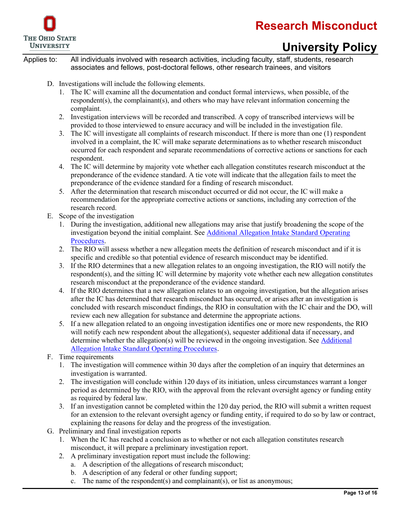

# **University Policy**

- D. Investigations will include the following elements.
	- 1. The IC will examine all the documentation and conduct formal interviews, when possible, of the respondent(s), the complainant(s), and others who may have relevant information concerning the complaint.
	- 2. Investigation interviews will be recorded and transcribed. A copy of transcribed interviews will be provided to those interviewed to ensure accuracy and will be included in the investigation file.
	- 3. The IC will investigate all complaints of research misconduct. If there is more than one (1) respondent involved in a complaint, the IC will make separate determinations as to whether research misconduct occurred for each respondent and separate recommendations of corrective actions or sanctions for each respondent.
	- 4. The IC will determine by majority vote whether each allegation constitutes research misconduct at the preponderance of the evidence standard. A tie vote will indicate that the allegation fails to meet the preponderance of the evidence standard for a finding of research misconduct.
	- 5. After the determination that research misconduct occurred or did not occur, the IC will make a recommendation for the appropriate corrective actions or sanctions, including any correction of the research record.
- E. Scope of the investigation
	- 1. During the investigation, additional new allegations may arise that justify broadening the scope of the investigation beyond the initial complaint. See [Additional Allegation Intake Standard Operating](https://go.osu.edu/additional_allegations)  [Procedures.](https://go.osu.edu/additional_allegations)
	- 2. The RIO will assess whether a new allegation meets the definition of research misconduct and if it is specific and credible so that potential evidence of research misconduct may be identified.
	- 3. If the RIO determines that a new allegation relates to an ongoing investigation, the RIO will notify the respondent(s), and the sitting IC will determine by majority vote whether each new allegation constitutes research misconduct at the preponderance of the evidence standard.
	- 4. If the RIO determines that a new allegation relates to an ongoing investigation, but the allegation arises after the IC has determined that research misconduct has occurred, or arises after an investigation is concluded with research misconduct findings, the RIO in consultation with the IC chair and the DO, will review each new allegation for substance and determine the appropriate actions.
	- 5. If a new allegation related to an ongoing investigation identifies one or more new respondents, the RIO will notify each new respondent about the allegation(s), sequester additional data if necessary, and determine whether the allegation(s) will be reviewed in the ongoing investigation. See [Additional](https://go.osu.edu/additional_allegations)  [Allegation Intake Standard Operating Procedures.](https://go.osu.edu/additional_allegations)
- F. Time requirements
	- 1. The investigation will commence within 30 days after the completion of an inquiry that determines an investigation is warranted.
	- 2. The investigation will conclude within 120 days of its initiation, unless circumstances warrant a longer period as determined by the RIO, with the approval from the relevant oversight agency or funding entity as required by federal law.
	- 3. If an investigation cannot be completed within the 120 day period, the RIO will submit a written request for an extension to the relevant oversight agency or funding entity, if required to do so by law or contract, explaining the reasons for delay and the progress of the investigation.
- G. Preliminary and final investigation reports
	- 1. When the IC has reached a conclusion as to whether or not each allegation constitutes research misconduct, it will prepare a preliminary investigation report.
	- 2. A preliminary investigation report must include the following:
		- a. A description of the allegations of research misconduct;
		- b. A description of any federal or other funding support;
		- c. The name of the respondent(s) and complainant(s), or list as anonymous;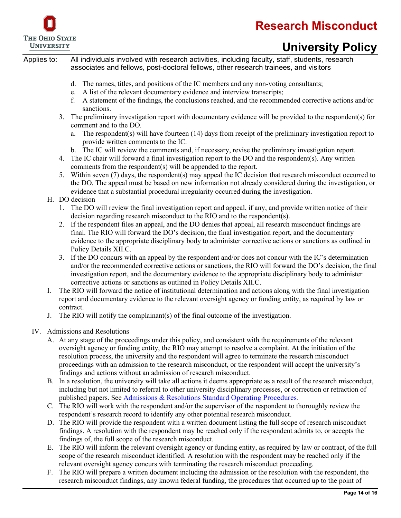

# **University Policy**

Applies to: All individuals involved with research activities, including faculty, staff, students, research associates and fellows, post-doctoral fellows, other research trainees, and visitors

- d. The names, titles, and positions of the IC members and any non-voting consultants;
- e. A list of the relevant documentary evidence and interview transcripts;
- f. A statement of the findings, the conclusions reached, and the recommended corrective actions and/or sanctions.
- 3. The preliminary investigation report with documentary evidence will be provided to the respondent(s) for comment and to the DO.
	- a. The respondent(s) will have fourteen (14) days from receipt of the preliminary investigation report to provide written comments to the IC.
	- b. The IC will review the comments and, if necessary, revise the preliminary investigation report.
- 4. The IC chair will forward a final investigation report to the DO and the respondent(s). Any written comments from the respondent(s) will be appended to the report.
- 5. Within seven (7) days, the respondent(s) may appeal the IC decision that research misconduct occurred to the DO. The appeal must be based on new information not already considered during the investigation, or evidence that a substantial procedural irregularity occurred during the investigation.

### H. DO decision

- 1. The DO will review the final investigation report and appeal, if any, and provide written notice of their decision regarding research misconduct to the RIO and to the respondent(s).
- 2. If the respondent files an appeal, and the DO denies that appeal, all research misconduct findings are final. The RIO will forward the DO's decision, the final investigation report, and the documentary evidence to the appropriate disciplinary body to administer corrective actions or sanctions as outlined in Policy Details XII.C.
- 3. If the DO concurs with an appeal by the respondent and/or does not concur with the IC's determination and/or the recommended corrective actions or sanctions, the RIO will forward the DO's decision, the final investigation report, and the documentary evidence to the appropriate disciplinary body to administer corrective actions or sanctions as outlined in Policy Details XII.C.
- I. The RIO will forward the notice of institutional determination and actions along with the final investigation report and documentary evidence to the relevant oversight agency or funding entity, as required by law or contract.
- J. The RIO will notify the complainant(s) of the final outcome of the investigation.
- IV. Admissions and Resolutions
	- A. At any stage of the proceedings under this policy, and consistent with the requirements of the relevant oversight agency or funding entity, the RIO may attempt to resolve a complaint. At the initiation of the resolution process, the university and the respondent will agree to terminate the research misconduct proceedings with an admission to the research misconduct, or the respondent will accept the university's findings and actions without an admission of research misconduct.
	- B. In a resolution, the university will take all actions it deems appropriate as a result of the research misconduct, including but not limited to referral to other university disciplinary processes, or correction or retraction of published papers. See [Admissions & Resolutions Standard Operating Procedures.](https://go.osu.edu/adm_and_resolutions)
	- C. The RIO will work with the respondent and/or the supervisor of the respondent to thoroughly review the respondent's research record to identify any other potential research misconduct.
	- D. The RIO will provide the respondent with a written document listing the full scope of research misconduct findings. A resolution with the respondent may be reached only if the respondent admits to, or accepts the findings of, the full scope of the research misconduct.
	- E. The RIO will inform the relevant oversight agency or funding entity, as required by law or contract, of the full scope of the research misconduct identified. A resolution with the respondent may be reached only if the relevant oversight agency concurs with terminating the research misconduct proceeding.
	- F. The RIO will prepare a written document including the admission or the resolution with the respondent, the research misconduct findings, any known federal funding, the procedures that occurred up to the point of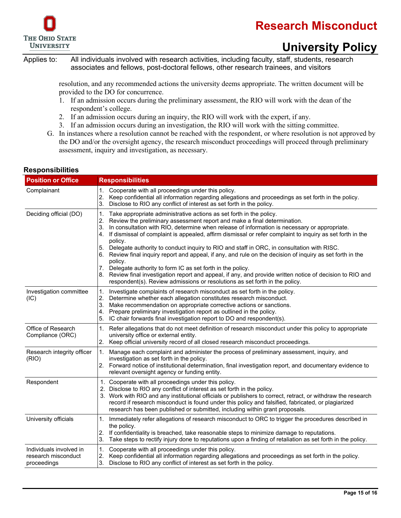



# **University Policy**

Applies to: All individuals involved with research activities, including faculty, staff, students, research associates and fellows, post-doctoral fellows, other research trainees, and visitors

> resolution, and any recommended actions the university deems appropriate. The written document will be provided to the DO for concurrence.

- 1. If an admission occurs during the preliminary assessment, the RIO will work with the dean of the respondent's college.
- 2. If an admission occurs during an inquiry, the RIO will work with the expert, if any.
- 3. If an admission occurs during an investigation, the RIO will work with the sitting committee.
- G. In instances where a resolution cannot be reached with the respondent, or where resolution is not approved by the DO and/or the oversight agency, the research misconduct proceedings will proceed through preliminary assessment, inquiry and investigation, as necessary.

### <span id="page-14-0"></span>**Responsibilities**

| <b>Position or Office</b>                                     | <b>Responsibilities</b>                                                                                                                                                                                                                                                                                                                                                                                                                                                                                                                                                                                                                                                                                                                                                                                                                                                                           |
|---------------------------------------------------------------|---------------------------------------------------------------------------------------------------------------------------------------------------------------------------------------------------------------------------------------------------------------------------------------------------------------------------------------------------------------------------------------------------------------------------------------------------------------------------------------------------------------------------------------------------------------------------------------------------------------------------------------------------------------------------------------------------------------------------------------------------------------------------------------------------------------------------------------------------------------------------------------------------|
| Complainant                                                   | 1. Cooperate with all proceedings under this policy.<br>Keep confidential all information regarding allegations and proceedings as set forth in the policy.<br>2.<br>3.<br>Disclose to RIO any conflict of interest as set forth in the policy.                                                                                                                                                                                                                                                                                                                                                                                                                                                                                                                                                                                                                                                   |
| Deciding official (DO)                                        | Take appropriate administrative actions as set forth in the policy.<br>1.<br>2.<br>Review the preliminary assessment report and make a final determination.<br>3.<br>In consultation with RIO, determine when release of information is necessary or appropriate.<br>If dismissal of complaint is appealed, affirm dismissal or refer complaint to inquiry as set forth in the<br>4.<br>policy.<br>Delegate authority to conduct inquiry to RIO and staff in ORC, in consultation with RISC.<br>5.<br>Review final inquiry report and appeal, if any, and rule on the decision of inquiry as set forth in the<br>6.<br>policy.<br>7.<br>Delegate authority to form IC as set forth in the policy.<br>Review final investigation report and appeal, if any, and provide written notice of decision to RIO and<br>8.<br>respondent(s). Review admissions or resolutions as set forth in the policy. |
| Investigation committee<br>(IC)                               | 1.<br>Investigate complaints of research misconduct as set forth in the policy.<br>2.<br>Determine whether each allegation constitutes research misconduct.<br>3.<br>Make recommendation on appropriate corrective actions or sanctions.<br>Prepare preliminary investigation report as outlined in the policy.<br>4.<br>5.<br>IC chair forwards final investigation report to DO and respondent(s).                                                                                                                                                                                                                                                                                                                                                                                                                                                                                              |
| Office of Research<br>Compliance (ORC)                        | Refer allegations that do not meet definition of research misconduct under this policy to appropriate<br>1.<br>university office or external entity.<br>2.<br>Keep official university record of all closed research misconduct proceedings.                                                                                                                                                                                                                                                                                                                                                                                                                                                                                                                                                                                                                                                      |
| Research integrity officer<br>(RIO)                           | Manage each complaint and administer the process of preliminary assessment, inquiry, and<br>1.<br>investigation as set forth in the policy.<br>Forward notice of institutional determination, final investigation report, and documentary evidence to<br>2.<br>relevant oversight agency or funding entity.                                                                                                                                                                                                                                                                                                                                                                                                                                                                                                                                                                                       |
| Respondent                                                    | 1. Cooperate with all proceedings under this policy.<br>2. Disclose to RIO any conflict of interest as set forth in the policy.<br>3. Work with RIO and any institutional officials or publishers to correct, retract, or withdraw the research<br>record if research misconduct is found under this policy and falsified, fabricated, or plagiarized<br>research has been published or submitted, including within grant proposals.                                                                                                                                                                                                                                                                                                                                                                                                                                                              |
| University officials                                          | Immediately refer allegations of research misconduct to ORC to trigger the procedures described in<br>1.<br>the policy.<br>If confidentiality is breached, take reasonable steps to minimize damage to reputations.<br>2.<br>Take steps to rectify injury done to reputations upon a finding of retaliation as set forth in the policy.<br>3.                                                                                                                                                                                                                                                                                                                                                                                                                                                                                                                                                     |
| Individuals involved in<br>research misconduct<br>proceedings | 1.<br>Cooperate with all proceedings under this policy.<br>Keep confidential all information regarding allegations and proceedings as set forth in the policy.<br>2.<br>3.<br>Disclose to RIO any conflict of interest as set forth in the policy.                                                                                                                                                                                                                                                                                                                                                                                                                                                                                                                                                                                                                                                |